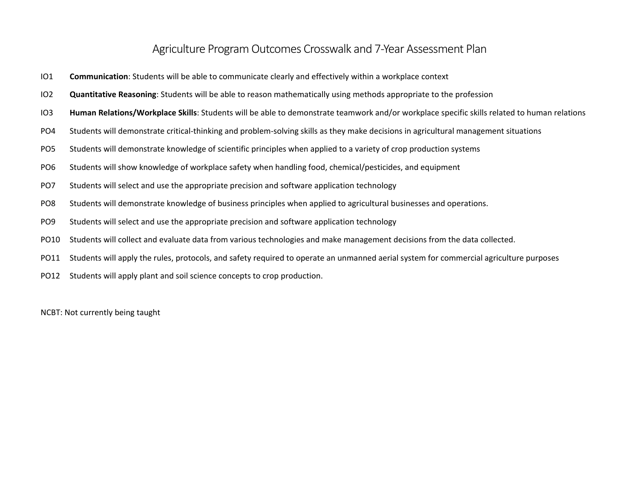## Agriculture Program Outcomes Crosswalk and 7-Year Assessment Plan

- IO1 **Communication**: Students will be able to communicate clearly and effectively within a workplace context
- IO2 **Quantitative Reasoning**: Students will be able to reason mathematically using methods appropriate to the profession
- IO3 **Human Relations/Workplace Skills**: Students will be able to demonstrate teamwork and/or workplace specific skills related to human relations
- PO4 Students will demonstrate critical-thinking and problem-solving skills as they make decisions in agricultural management situations
- PO5 Students will demonstrate knowledge of scientific principles when applied to a variety of crop production systems
- PO6 Students will show knowledge of workplace safety when handling food, chemical/pesticides, and equipment
- PO7 Students will select and use the appropriate precision and software application technology
- PO8 Students will demonstrate knowledge of business principles when applied to agricultural businesses and operations.
- PO9 Students will select and use the appropriate precision and software application technology
- PO10 Students will collect and evaluate data from various technologies and make management decisions from the data collected.
- PO11 Students will apply the rules, protocols, and safety required to operate an unmanned aerial system for commercial agriculture purposes
- PO12 Students will apply plant and soil science concepts to crop production.

NCBT: Not currently being taught